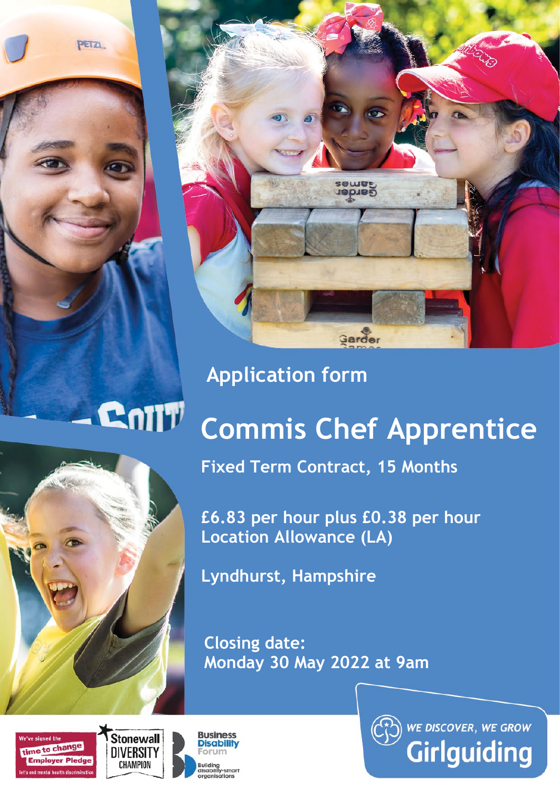PETZI.



## **Application form**

## **Commis Chef Apprentice**



**Fixed Term Contract, 15 Months**

**£6.83 per hour plus £0.38 per hour Location Allowance (LA)**

**Lyndhurst, Hampshire**

**Closing date: Monday 30 May 2022 at 9am** 





Colly



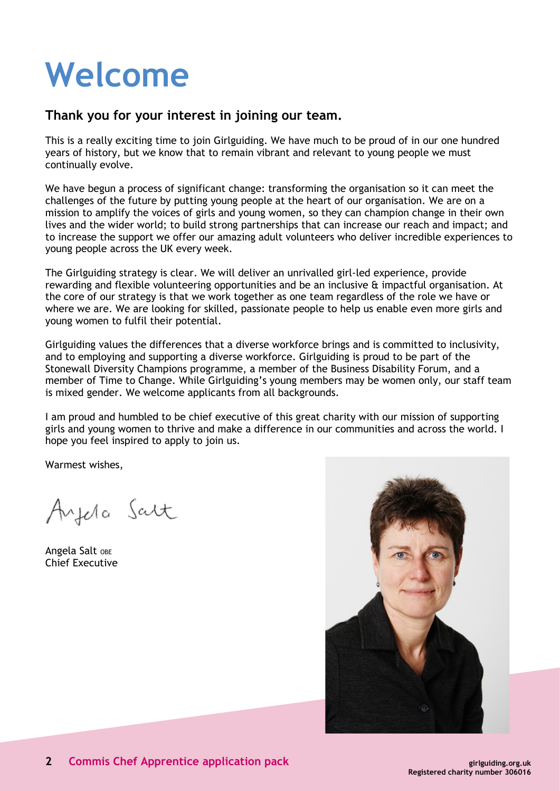# **Welcome**

## **Thank you for your interest in joining our team.**

This is a really exciting time to join Girlguiding. We have much to be proud of in our one hundred years of history, but we know that to remain vibrant and relevant to young people we must continually evolve.

We have begun a process of significant change: transforming the organisation so it can meet the challenges of the future by putting young people at the heart of our organisation. We are on a mission to amplify the voices of girls and young women, so they can champion change in their own lives and the wider world; to build strong partnerships that can increase our reach and impact; and to increase the support we offer our amazing adult volunteers who deliver incredible experiences to young people across the UK every week.

The Girlguiding strategy is clear. We will deliver an unrivalled girl-led experience, provide rewarding and flexible volunteering opportunities and be an inclusive & impactful organisation. At the core of our strategy is that we work together as one team regardless of the role we have or where we are. We are looking for skilled, passionate people to help us enable even more girls and young women to fulfil their potential.

Girlguiding values the differences that a diverse workforce brings and is committed to inclusivity, and to employing and supporting a diverse workforce. Girlguiding is proud to be part of the Stonewall Diversity Champions programme, a member of the Business Disability Forum, and a member of Time to Change. While Girlguiding's young members may be women only, our staff team is mixed gender. We welcome applicants from all backgrounds.

I am proud and humbled to be chief executive of this great charity with our mission of supporting girls and young women to thrive and make a difference in our communities and across the world. I hope you feel inspired to apply to join us.

Warmest wishes,

Ayela Salt

Angela Salt OBE Chief Executive

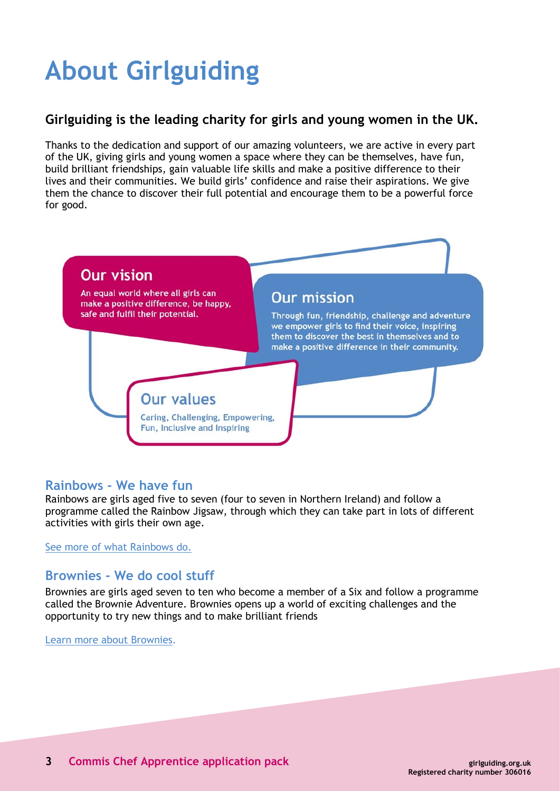## **About Girlguiding**

## **Girlguiding is the leading charity for girls and young women in the UK.**

Thanks to the dedication and support of our amazing volunteers, we are active in every part of the UK, giving girls and young women a space where they can be themselves, have fun, build brilliant friendships, gain valuable life skills and make a positive difference to their lives and their communities. We build girls' confidence and raise their aspirations. We give them the chance to discover their full potential and encourage them to be a powerful force for good.



## **Rainbows - We have fun**

Rainbows are girls aged five to seven (four to seven in Northern Ireland) and follow a programme called the Rainbow Jigsaw, through which they can take part in lots of different activities with girls their own age.

See more of [what Rainbows do.](http://www.girlguiding.org.uk/about_us/what_do_girls_in_guiding_do/rainbows.aspx)

## **Brownies - We do cool stuff**

Brownies are girls aged seven to ten who become a member of a Six and follow a programme called the Brownie Adventure. Brownies opens up a world of exciting challenges and the opportunity to try new things and to make brilliant friends

[Learn more about Brownies](http://www.girlguiding.org.uk/about_us/what_do_girls_in_guiding_do/brownies.aspx).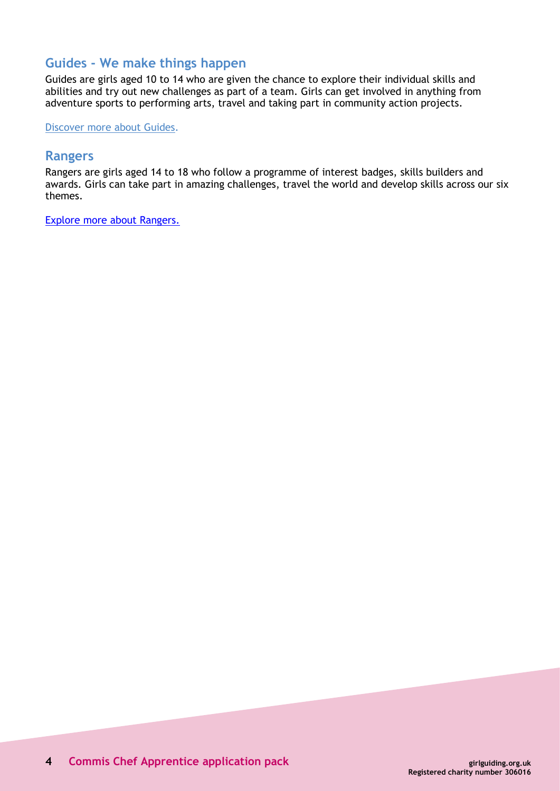## **Guides - We make things happen**

Guides are girls aged 10 to 14 who are given the chance to explore their individual skills and abilities and try out new challenges as part of a team. Girls can get involved in anything from adventure sports to performing arts, travel and taking part in community action projects.

[Discover more about Guides.](http://www.girlguiding.org.uk/about_us/what_do_girls_in_guiding_do/guides.aspx)

#### **Rangers**

Rangers are girls aged 14 to 18 who follow a programme of interest badges, skills builders and awards. Girls can take part in amazing challenges, travel the world and develop skills across our six themes.

[Explore more about Rangers.](https://www.girlguiding.org.uk/what-we-do/rangers/all-about-rangers/)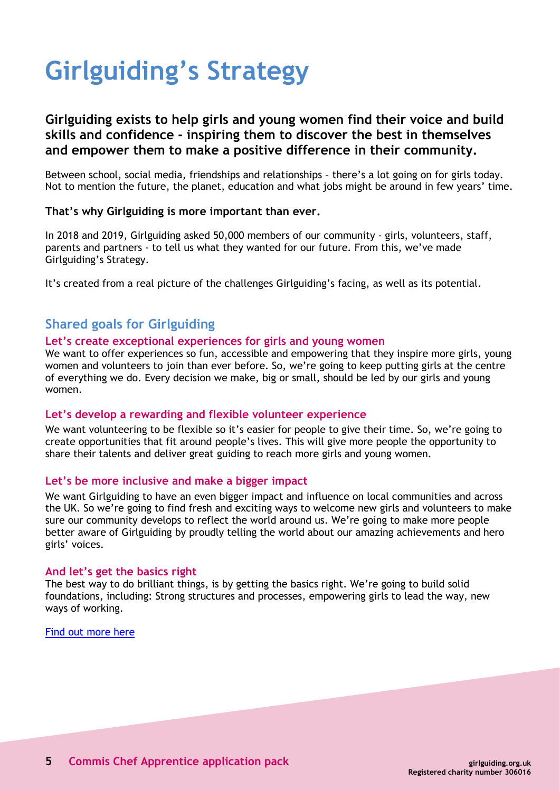## **Girlguiding's Strategy**

## **Girlguiding exists to help girls and young women find their voice and build skills and confidence - inspiring them to discover the best in themselves and empower them to make a positive difference in their community.**

Between school, social media, friendships and relationships – there's a lot going on for girls today. Not to mention the future, the planet, education and what jobs might be around in few years' time.

#### **That's why Girlguiding is more important than ever.**

In 2018 and 2019, Girlguiding asked 50,000 members of our community - girls, volunteers, staff, parents and partners - to tell us what they wanted for our future. From this, we've made Girlguiding's Strategy.

It's created from a real picture of the challenges Girlguiding's facing, as well as its potential.

## **Shared goals for Girlguiding**

#### **Let's create exceptional experiences for girls and young women**

We want to offer experiences so fun, accessible and empowering that they inspire more girls, young women and volunteers to join than ever before. So, we're going to keep putting girls at the centre of everything we do. Every decision we make, big or small, should be led by our girls and young women.

#### **Let's develop a rewarding and flexible volunteer experience**

We want volunteering to be flexible so it's easier for people to give their time. So, we're going to create opportunities that fit around people's lives. This will give more people the opportunity to share their talents and deliver great guiding to reach more girls and young women.

#### **Let's be more inclusive and make a bigger impact**

We want Girlguiding to have an even bigger impact and influence on local communities and across the UK. So we're going to find fresh and exciting ways to welcome new girls and volunteers to make sure our community develops to reflect the world around us. We're going to make more people better aware of Girlguiding by proudly telling the world about our amazing achievements and hero girls' voices.

#### **And let's get the basics right**

The best way to do brilliant things, is by getting the basics right. We're going to build solid foundations, including: Strong structures and processes, empowering girls to lead the way, new ways of working.

[Find out more here](https://www.girlguiding.org.uk/about-us/girlguidings-strategy/)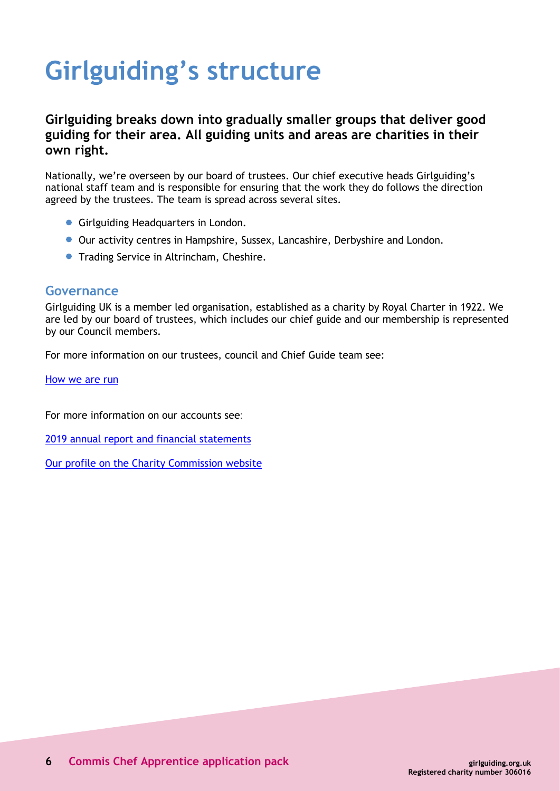## **Girlguiding's structure**

## **Girlguiding breaks down into gradually smaller groups that deliver good guiding for their area. All guiding units and areas are charities in their own right.**

Nationally, we're overseen by our board of trustees. Our chief executive heads Girlguiding's national staff team and is responsible for ensuring that the work they do follows the direction agreed by the trustees. The team is spread across several sites.

- **Girlguiding Headquarters in London.**
- Our activity centres in Hampshire, Sussex, Lancashire, Derbyshire and London.
- **Trading Service in Altrincham, Cheshire.**

#### **Governance**

Girlguiding UK is a member led organisation, established as a charity by Royal Charter in 1922. We are led by our board of trustees, which includes our chief guide and our membership is represented by our Council members.

For more information on our trustees, council and Chief Guide team see:

[How we are run](https://www.girlguiding.org.uk/about-us/our-organisation/how-girlguiding-is-run/)

For more information on our accounts see:

2019 annual report and financial [statements](https://www.girlguiding.org.uk/globalassets/docs-and-resources/quality-and-compliance/annual-report-2019.pdf)

Our profile on the Charity [Commission](http://www.charitycommission.gov.uk/search-for-a-charity/?txt=306016) website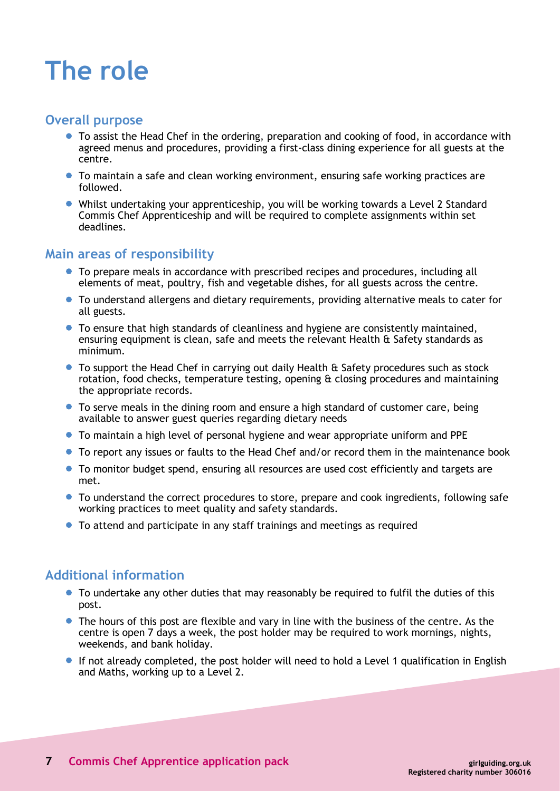## **The role**

### **Overall purpose**

- To assist the Head Chef in the ordering, preparation and cooking of food, in accordance with agreed menus and procedures, providing a first-class dining experience for all guests at the centre.
- To maintain a safe and clean working environment, ensuring safe working practices are followed.
- Whilst undertaking your apprenticeship, you will be working towards a Level 2 Standard Commis Chef Apprenticeship and will be required to complete assignments within set deadlines.

## **Main areas of responsibility**

- To prepare meals in accordance with prescribed recipes and procedures, including all elements of meat, poultry, fish and vegetable dishes, for all guests across the centre.
- To understand allergens and dietary requirements, providing alternative meals to cater for all guests.
- To ensure that high standards of cleanliness and hygiene are consistently maintained, ensuring equipment is clean, safe and meets the relevant Health & Safety standards as minimum.
- To support the Head Chef in carrying out daily Health & Safety procedures such as stock rotation, food checks, temperature testing, opening & closing procedures and maintaining the appropriate records.
- To serve meals in the dining room and ensure a high standard of customer care, being available to answer guest queries regarding dietary needs
- To maintain a high level of personal hygiene and wear appropriate uniform and PPE
- To report any issues or faults to the Head Chef and/or record them in the maintenance book
- To monitor budget spend, ensuring all resources are used cost efficiently and targets are met.
- To understand the correct procedures to store, prepare and cook ingredients, following safe working practices to meet quality and safety standards.
- To attend and participate in any staff trainings and meetings as required

## **Additional information**

- To undertake any other duties that may reasonably be required to fulfil the duties of this post.
- The hours of this post are flexible and vary in line with the business of the centre. As the centre is open 7 days a week, the post holder may be required to work mornings, nights, weekends, and bank holiday.
- If not already completed, the post holder will need to hold a Level 1 qualification in English and Maths, working up to a Level 2.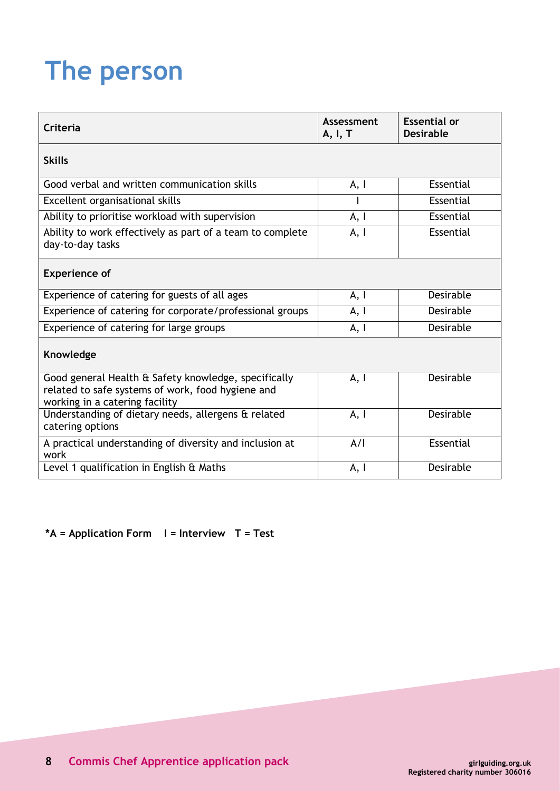## **The person**

| Criteria                                                                                                                                    | Assessment<br>A, I, T | <b>Essential or</b><br><b>Desirable</b> |
|---------------------------------------------------------------------------------------------------------------------------------------------|-----------------------|-----------------------------------------|
| <b>Skills</b>                                                                                                                               |                       |                                         |
| Good verbal and written communication skills                                                                                                | A, I                  | Essential                               |
| Excellent organisational skills                                                                                                             |                       | Essential                               |
| Ability to prioritise workload with supervision                                                                                             | A, I                  | Essential                               |
| Ability to work effectively as part of a team to complete<br>day-to-day tasks                                                               | A, I                  | Essential                               |
| <b>Experience of</b>                                                                                                                        |                       |                                         |
| Experience of catering for guests of all ages                                                                                               | A, I                  | <b>Desirable</b>                        |
| Experience of catering for corporate/professional groups                                                                                    | A, I                  | Desirable                               |
| Experience of catering for large groups                                                                                                     | A, I                  | <b>Desirable</b>                        |
| Knowledge                                                                                                                                   |                       |                                         |
| Good general Health & Safety knowledge, specifically<br>related to safe systems of work, food hygiene and<br>working in a catering facility | A, I                  | Desirable                               |
| Understanding of dietary needs, allergens & related<br>catering options                                                                     | A, I                  | <b>Desirable</b>                        |
| A practical understanding of diversity and inclusion at<br>work                                                                             | A/I                   | Essential                               |
| Level 1 qualification in English & Maths                                                                                                    | A, I                  | Desirable                               |

**\*A = Application Form I = Interview T = Test**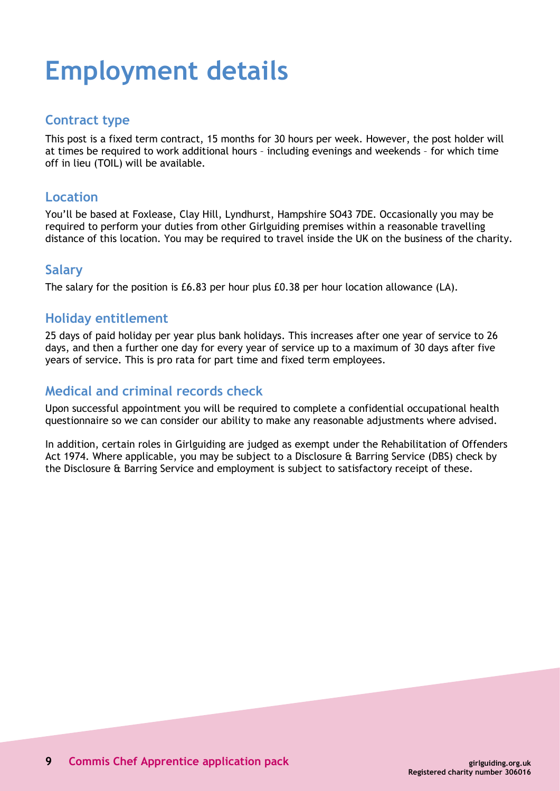## **Employment details**

## **Contract type**

This post is a fixed term contract, 15 months for 30 hours per week. However, the post holder will at times be required to work additional hours – including evenings and weekends – for which time off in lieu (TOIL) will be available.

### **Location**

You'll be based at Foxlease, Clay Hill, Lyndhurst, Hampshire SO43 7DE. Occasionally you may be required to perform your duties from other Girlguiding premises within a reasonable travelling distance of this location. You may be required to travel inside the UK on the business of the charity.

### **Salary**

The salary for the position is £6.83 per hour plus £0.38 per hour location allowance (LA).

### **Holiday entitlement**

25 days of paid holiday per year plus bank holidays. This increases after one year of service to 26 days, and then a further one day for every year of service up to a maximum of 30 days after five years of service. This is pro rata for part time and fixed term employees.

## **Medical and criminal records check**

Upon successful appointment you will be required to complete a confidential occupational health questionnaire so we can consider our ability to make any reasonable adjustments where advised.

In addition, certain roles in Girlguiding are judged as exempt under the Rehabilitation of Offenders Act 1974. Where applicable, you may be subject to a Disclosure & Barring Service (DBS) check by the Disclosure & Barring Service and employment is subject to satisfactory receipt of these.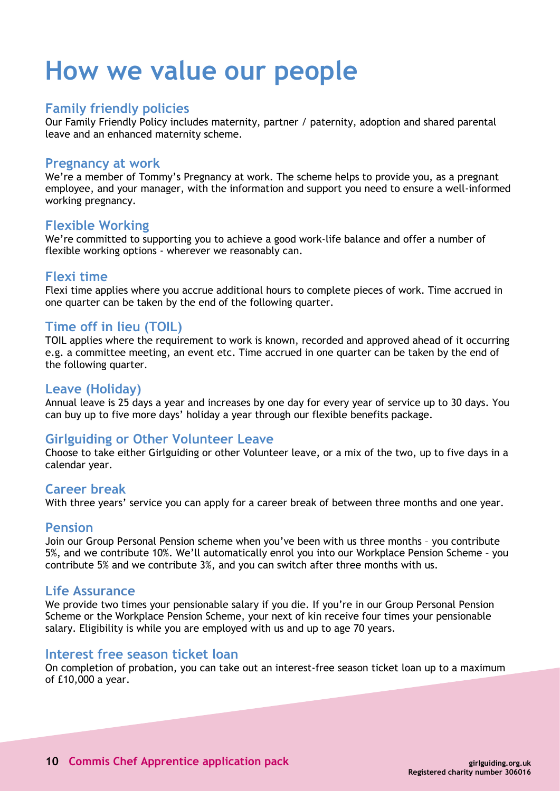## **How we value our people**

### **Family friendly policies**

Our Family Friendly Policy includes maternity, partner / paternity, adoption and shared parental leave and an enhanced maternity scheme.

#### **Pregnancy at work**

We're a member of Tommy's Pregnancy at work. The scheme helps to provide you, as a pregnant employee, and your manager, with the information and support you need to ensure a well-informed working pregnancy.

#### **Flexible Working**

We're committed to supporting you to achieve a good work-life balance and offer a number of flexible working options - wherever we reasonably can.

### **Flexi time**

Flexi time applies where you accrue additional hours to complete pieces of work. Time accrued in one quarter can be taken by the end of the following quarter.

### **Time off in lieu (TOIL)**

TOIL applies where the requirement to work is known, recorded and approved ahead of it occurring e.g. a committee meeting, an event etc. Time accrued in one quarter can be taken by the end of the following quarter.

### **Leave (Holiday)**

Annual leave is 25 days a year and increases by one day for every year of service up to 30 days. You can buy up to five more days' holiday a year through our flexible benefits package.

## **Girlguiding or Other Volunteer Leave**

Choose to take either Girlguiding or other Volunteer leave, or a mix of the two, up to five days in a calendar year.

#### **Career break**

With three years' service you can apply for a career break of between three months and one year.

#### **Pension**

Join our Group Personal Pension scheme when you've been with us three months – you contribute 5%, and we contribute 10%. We'll automatically enrol you into our Workplace Pension Scheme – you contribute 5% and we contribute 3%, and you can switch after three months with us.

#### **Life Assurance**

We provide two times your pensionable salary if you die. If you're in our Group Personal Pension Scheme or the Workplace Pension Scheme, your next of kin receive four times your pensionable salary. Eligibility is while you are employed with us and up to age 70 years.

#### **Interest free season ticket loan**

On completion of probation, you can take out an interest-free season ticket loan up to a maximum of £10,000 a year.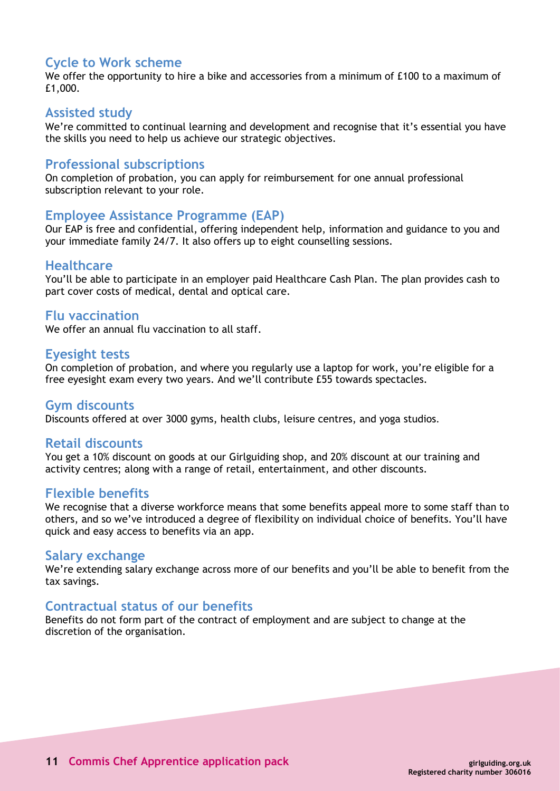## **Cycle to Work scheme**

We offer the opportunity to hire a bike and accessories from a minimum of £100 to a maximum of £1,000.

#### **Assisted study**

We're committed to continual learning and development and recognise that it's essential you have the skills you need to help us achieve our strategic objectives.

### **Professional subscriptions**

On completion of probation, you can apply for reimbursement for one annual professional subscription relevant to your role.

#### **Employee Assistance Programme (EAP)**

Our EAP is free and confidential, offering independent help, information and guidance to you and your immediate family 24/7. It also offers up to eight counselling sessions.

#### **Healthcare**

You'll be able to participate in an employer paid Healthcare Cash Plan. The plan provides cash to part cover costs of medical, dental and optical care.

#### **Flu vaccination**

We offer an annual flu vaccination to all staff.

#### **Eyesight tests**

On completion of probation, and where you regularly use a laptop for work, you're eligible for a free eyesight exam every two years. And we'll contribute £55 towards spectacles.

#### **Gym discounts**

Discounts offered at over 3000 gyms, health clubs, leisure centres, and yoga studios.

#### **Retail discounts**

You get a 10% discount on goods at our Girlguiding shop, and 20% discount at our training and activity centres; along with a range of retail, entertainment, and other discounts.

#### **Flexible benefits**

We recognise that a diverse workforce means that some benefits appeal more to some staff than to others, and so we've introduced a degree of flexibility on individual choice of benefits. You'll have quick and easy access to benefits via an app.

#### **Salary exchange**

We're extending salary exchange across more of our benefits and you'll be able to benefit from the tax savings.

#### **Contractual status of our benefits**

Benefits do not form part of the contract of employment and are subject to change at the discretion of the organisation.